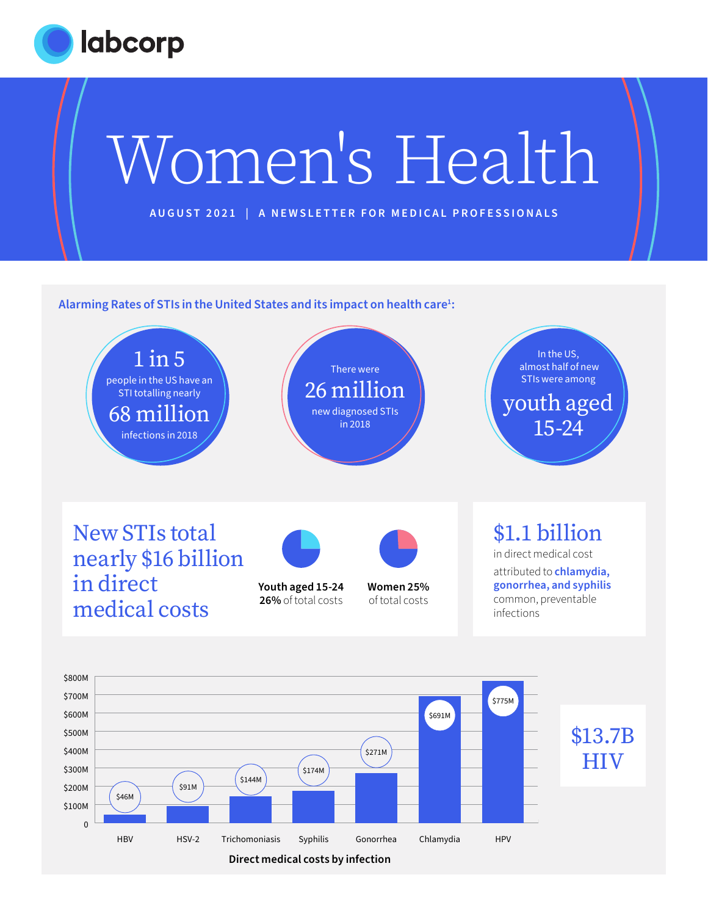



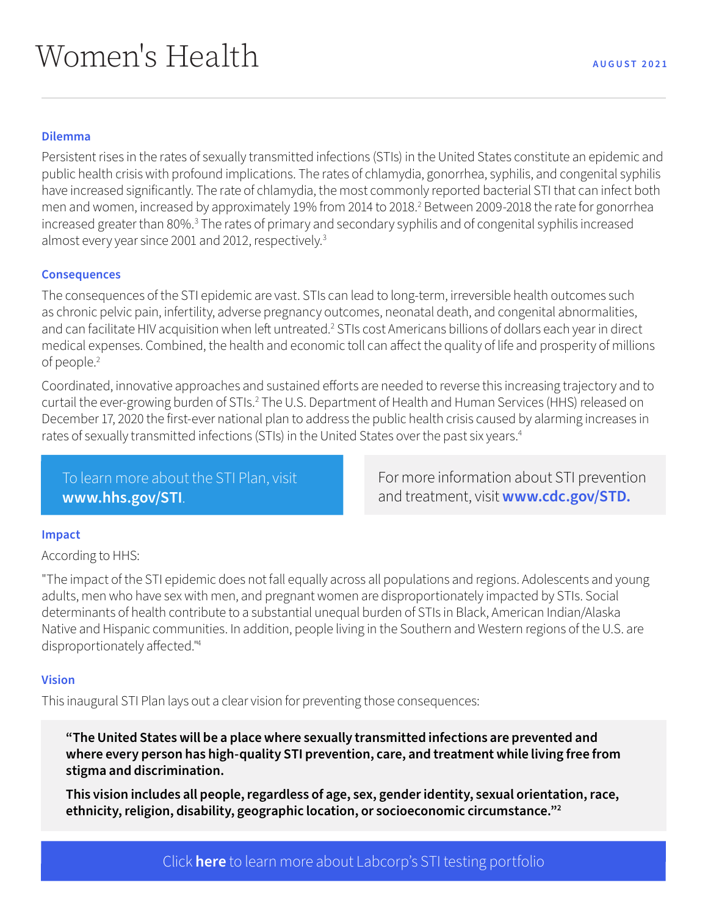## **Dilemma**

Persistent rises in the rates of sexually transmitted infections (STIs) in the United States constitute an epidemic and public health crisis with profound implications. The rates of chlamydia, gonorrhea, syphilis, and congenital syphilis have increased significantly. The rate of chlamydia, the most commonly reported bacterial STI that can infect both men and women, increased by approximately 19% from 2014 to 2018.2 Between 2009-2018 the rate for gonorrhea increased greater than 80%.<sup>3</sup> The rates of primary and secondary syphilis and of congenital syphilis increased almost every year since 2001 and 2012, respectively.3

### **Consequences**

The consequences of the STI epidemic are vast. STIs can lead to long-term, irreversible health outcomes such as chronic pelvic pain, infertility, adverse pregnancy outcomes, neonatal death, and congenital abnormalities, and can facilitate HIV acquisition when left untreated.<sup>2</sup> STIs cost Americans billions of dollars each year in direct medical expenses. Combined, the health and economic toll can affect the quality of life and prosperity of millions of people.<sup>2</sup>

Coordinated, innovative approaches and sustained efforts are needed to reverse this increasing trajectory and to curtail the ever-growing burden of STIs.<sup>2</sup> The U.S. Department of Health and Human Services (HHS) released on December 17, 2020 the first-ever national plan to address the public health crisis caused by alarming increases in rates of sexually transmitted infections (STIs) in the United States over the past six years.4

To learn more about the STI Plan, visit **[www.hhs.gov/STI](http://www.hhs.gov/STI)**.

For more information about STI prevention and treatment, visit **[www.cdc.gov/STD.](http://www.cdc.gov/STD)** 

#### **Impact**

According to HHS:

"The impact of the STI epidemic does not fall equally across all populations and regions. Adolescents and young adults, men who have sex with men, and pregnant women are disproportionately impacted by STIs. Social determinants of health contribute to a substantial unequal burden of STIs in Black, American Indian/Alaska Native and Hispanic communities. In addition, people living in the Southern and Western regions of the U.S. are disproportionately affected."4

#### **Vision**

This inaugural STI Plan lays out a clear vision for preventing those consequences:

**"The United States will be a place where sexually transmitted infections are prevented and where every person has high-quality STI prevention, care, and treatment while living free from stigma and discrimination.**

**This vision includes all people, regardless of age, sex, gender identity, sexual orientation, race, ethnicity, religion, disability, geographic location, or socioeconomic circumstance."2**